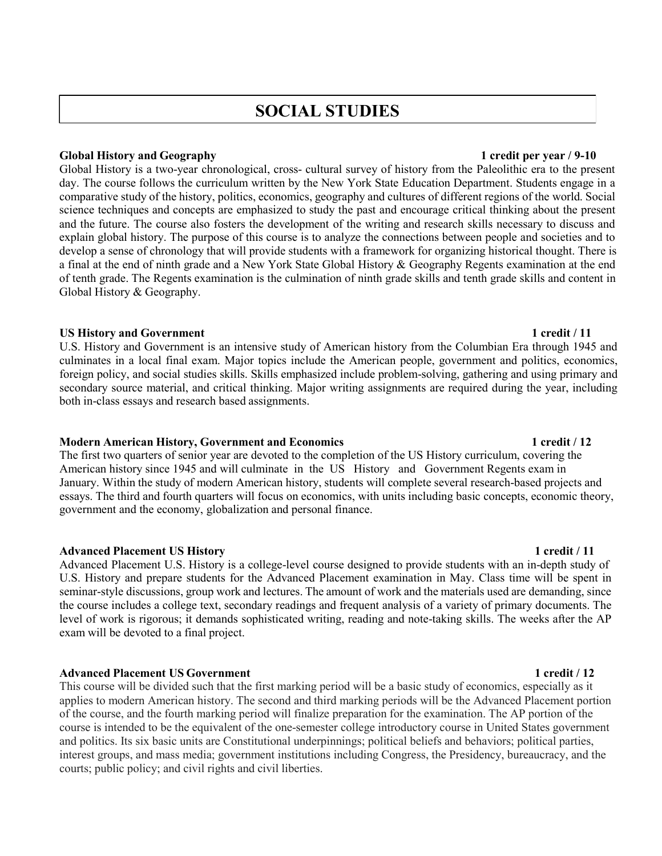# **SOCIAL STUDIES**

### **Global History and Geography 1 credit per year / 9-10**

Global History is a two-year chronological, cross- cultural survey of history from the Paleolithic era to the present day. The course follows the curriculum written by the New York State Education Department. Students engage in a comparative study of the history, politics, economics, geography and cultures of different regions of the world. Social science techniques and concepts are emphasized to study the past and encourage critical thinking about the present and the future. The course also fosters the development of the writing and research skills necessary to discuss and explain global history. The purpose of this course is to analyze the connections between people and societies and to develop a sense of chronology that will provide students with a framework for organizing historical thought. There is a final at the end of ninth grade and a New York State Global History & Geography Regents examination at the end of tenth grade. The Regents examination is the culmination of ninth grade skills and tenth grade skills and content in Global History & Geography.

### **US History and Government 1 credit / 11**

U.S. History and Government is an intensive study of American history from the Columbian Era through 1945 and culminates in a local final exam. Major topics include the American people, government and politics, economics, foreign policy, and social studies skills. Skills emphasized include problem-solving, gathering and using primary and secondary source material, and critical thinking. Major writing assignments are required during the year, including both in-class essays and research based assignments.

### **Modern American History, Government and Economics 1 credit / 12**

The first two quarters of senior year are devoted to the completion of the US History curriculum, covering the American history since 1945 and will culminate in the US History and Government Regents exam in January. Within the study of modern American history, students will complete several research-based projects and essays. The third and fourth quarters will focus on economics, with units including basic concepts, economic theory, government and the economy, globalization and personal finance.

### **Advanced Placement US History 1 credit / 11**

Advanced Placement U.S. History is a college-level course designed to provide students with an in-depth study of U.S. History and prepare students for the Advanced Placement examination in May. Class time will be spent in seminar-style discussions, group work and lectures. The amount of work and the materials used are demanding, since the course includes a college text, secondary readings and frequent analysis of a variety of primary documents. The level of work is rigorous; it demands sophisticated writing, reading and note-taking skills. The weeks after the AP exam will be devoted to a final project.

### **Advanced Placement US Government 1 credit / 12**

This course will be divided such that the first marking period will be a basic study of economics, especially as it applies to modern American history. The second and third marking periods will be the Advanced Placement portion of the course, and the fourth marking period will finalize preparation for the examination. The AP portion of the course is intended to be the equivalent of the one-semester college introductory course in United States government and politics. Its six basic units are Constitutional underpinnings; political beliefs and behaviors; political parties, interest groups, and mass media; government institutions including Congress, the Presidency, bureaucracy, and the courts; public policy; and civil rights and civil liberties.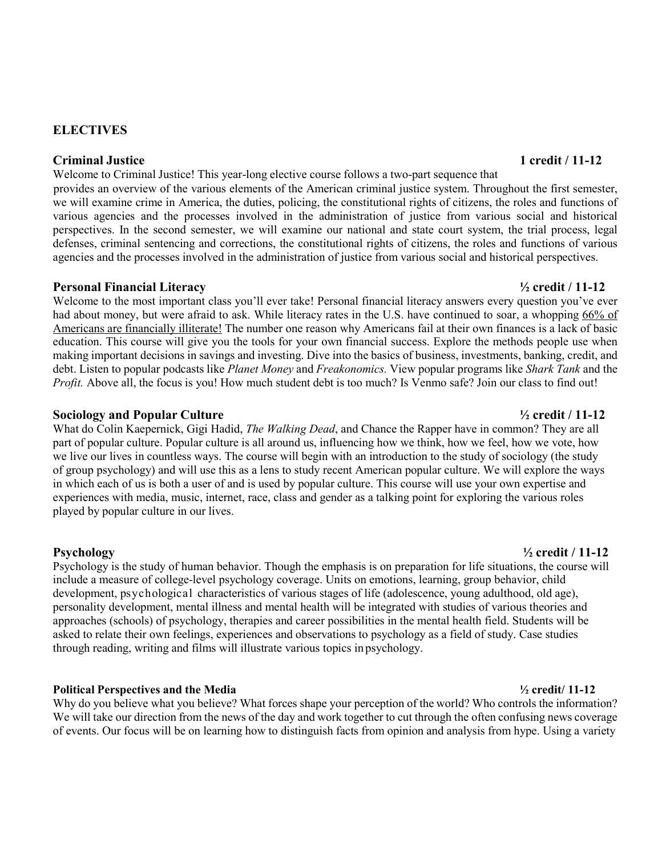# **ELECTIVES**

### **Criminal Justice 1 credit / 11-12**

Welcome to Criminal Justice! This year-long elective course follows a two-part sequence that

provides an overview of the various elements of the American criminal justice system. Throughout the first semester, we will examine crime in America, the duties, policing, the constitutional rights of citizens, the roles and functions of various agencies and the processes involved in the administration of justice from various social and historical perspectives. In the second semester, we will examine our national and state court system, the trial process, legal defenses, criminal sentencing and corrections, the constitutional rights of citizens, the roles and functions of various agencies and the processes involved in the administration of justice from various social and historical perspectives.

### **Personal Financial Literacy ½ credit / 11-12**

Welcome to the most important class you'll ever take! Personal financial literacy answers every question you've ever had about money, but were afraid to ask. While literacy rates in the U.S. have continued to soar, a whopping 66% of Americans are financially illiterate! The number one reason why Americans fail at their own finances is a lack of basic education. This course will give you the tools for your own financial success. Explore the methods people use when making important decisions in savings and investing. Dive into the basics of business, investments, banking, credit, and debt. Listen to popular podcasts like *Planet Money* and *Freakonomics.* View popular programs like *Shark Tank* and the *Profit.* Above all, the focus is you! How much student debt is too much? Is Venmo safe? Join our class to find out!

### **Sociology and Popular Culture ½ credit / 11-12**

What do Colin Kaepernick, Gigi Hadid, *The Walking Dead*, and Chance the Rapper have in common? They are all part of popular culture. Popular culture is all around us, influencing how we think, how we feel, how we vote, how we live our lives in countless ways. The course will begin with an introduction to the study of sociology (the study of group psychology) and will use this as a lens to study recent American popular culture. We will explore the ways in which each of us is both a user of and is used by popular culture. This course will use your own expertise and experiences with media, music, internet, race, class and gender as a talking point for exploring the various roles played by popular culture in our lives.

Psychology is the study of human behavior. Though the emphasis is on preparation for life situations, the course will include a measure of college-level psychology coverage. Units on emotions, learning, group behavior, child development, psychological characteristics of various stages of life (adolescence, young adulthood, old age), personality development, mental illness and mental health will be integrated with studies of various theories and approaches (schools) of psychology, therapies and career possibilities in the mental health field. Students will be asked to relate their own feelings, experiences and observations to psychology as a field of study. Case studies through reading, writing and films will illustrate various topics in psychology.

### **Political Perspectives and the Media ½ credit/ 11-12**

Why do you believe what you believe? What forces shape your perception of the world? Who controls the information? We will take our direction from the news of the day and work together to cut through the often confusing news coverage of events. Our focus will be on learning how to distinguish facts from opinion and analysis from hype. Using a variety

### **Psychology ½ credit / 11-12**